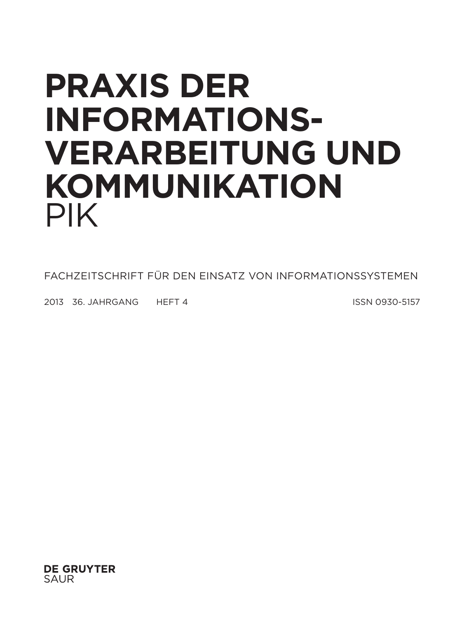# **Praxis der Informationsverarbeitung und Kommunikation** PIK

FACHZEITSCHRIFT FÜR DEN EINSATZ VON INFORMATIONSSYSTEMEN

2013 36. JAHRGANG HEFT 4 ISSN 0930-5157

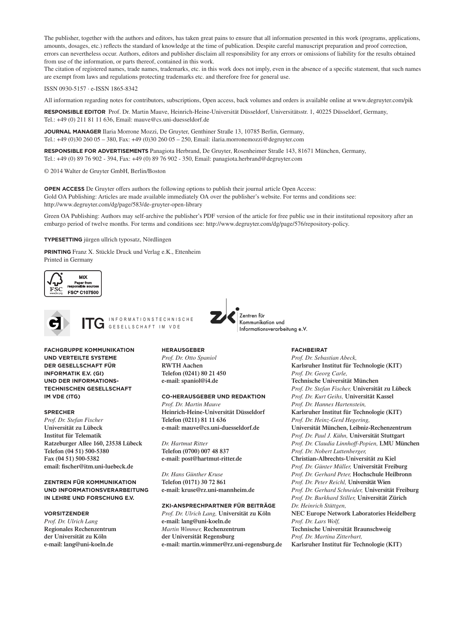The publisher, together with the authors and editors, has taken great pains to ensure that all information presented in this work (programs, applications, amounts, dosages, etc.) reflects the standard of knowledge at the time of publication. Despite careful manuscript preparation and proof correction, errors can nevertheless occur. Authors, editors and publisher disclaim all responsibility for any errors or omissions of liability for the results obtained from use of the information, or parts thereof, contained in this work.

The citation of registered names, trade names, trademarks, etc. in this work does not imply, even in the absence of a specific statement, that such names are exempt from laws and regulations protecting trademarks etc. and therefore free for general use.

ISSN 0930-5157 ∙ e-ISSN 1865-8342

All information regarding notes for contributors, subscriptions, Open access, back volumes and orders is available online at www.degruyter.com/pik

**Responsible Editor** Prof. Dr. Martin Mauve, Heinrich-Heine-Universität Düsseldorf, Universitätsstr. 1, 40225 Düsseldorf, Germany, Tel.: +49 (0) 211 81 11 636, Email: mauve@cs.uni-duesseldorf.de

**Journal Manager** Ilaria Morrone Mozzi, De Gruyter, Genthiner Straße 13, 10785 Berlin, Germany, Tel.: +49 (0)30 260 05 – 380, Fax: +49 (0)30 260 05 – 250, Email: ilaria.morronemozzi@degruyter.com

**Responsible for Advertisements** Panagiota Herbrand, De Gruyter, Rosenheimer Straße 143, 81671 München, Germany, Tel.: +49 (0) 89 76 902 - 394, Fax: +49 (0) 89 76 902 - 350, Email: panagiota.herbrand@degruyter.com

© 2014 Walter de Gruyter GmbH, Berlin/Boston

**OPEN ACCESS** De Gruyter offers authors the following options to publish their journal article Open Access: Gold OA Publishing: Articles are made available immediately OA over the publisher's website. For terms and conditions see: http://www.degruyter.com/dg/page/583/de-gruyter-open-library

Green OA Publishing: Authors may self-archive the publisher's PDF version of the article for free public use in their institutional repository after an embargo period of twelve months. For terms and conditions see: http://www.degruyter.com/dg/page/576/repository-policy.

**Typesetting** jürgen ullrich typosatz, Nördlingen

**Printing** Franz X. Stückle Druck und Verlag e.K., Ettenheim Printed in Germany





I N F O R M A T I O N S T E C H N I S C H E GESELLSCHAFT IM VDE

**HERAUSGEBER**

**UND VERTEILTE SYSTEME DER GESELLSCHAFT FÜR INFORMATIK E.V. (GI) UND DER INFORMATIONS-TECHNISCHEN GESELLSCHAFT IM VDE (ITG)**

**FACHGRUPPE KOMMUNIKATION**

#### **SPRECHER**

*Prof. Dr. Stefan Fischer* **Universität zu Lübeck Institut für Telematik Ratzeburger Allee 160, 23538 Lübeck Telefon (04 51) 500-5380 Fax (04 51) 500-5382 email: fischer@itm.uni-luebeck.de**

**ZENTREN FÜR KOMMUNIKATION UND INFORMATIONSVERARBEITUNG IN LEHRE UND FORSCHUNG E.V.**

#### **VORSITZENDER**

*Prof. Dr. Ulrich Lang* **Regionales Rechenzentrum der Universität zu Köln e-mail: lang@uni-koeln.de**

*Prof. Dr. Otto Spaniol* **RWTH Aachen Telefon (0241) 80 21 450 e-mail: spaniol@i4.de**

#### **CO-HERAUSGEBER UND REDAKTION**

*Prof. Dr. Martin Mauve* **Heinrich-Heine-Universität Düsseldorf Telefon (0211) 81 11 636 e-mail: mauve@cs.uni-duesseldorf.de**

*Dr. Hartmut Ritter* **Telefon (0700) 007 48 837 e-mail: post@hartmut-ritter.de**

*Dr. Hans Günther Kruse* **Telefon (0171) 30 72 861 e-mail: kruse@rz.uni-mannheim.de**

#### **ZKI-ANSPRECHPARTNER FÜR BEITRÄGE**

*Prof. Dr. Ulrich Lang,* **Universität zu Köln e-mail: lang@uni-koeln.de** *Martin Wimmer,* **Rechenzentrum der Universität Regensburg e-mail: martin.wimmer@rz.uni-regensburg.de**

Informationsverarbeitung e.V.

Zentren für Kommunikation und

**FACHBEIRAT**

*Prof. Dr. Sebastian Abeck,*  **Karlsruher Institut für Technologie (KIT)** *Prof. Dr. Georg Carle,* **Technische Universität München** *Prof. Dr. Stefan Fischer,* **Universität zu Lübeck** *Prof. Dr. Kurt Geihs,* **Universität Kassel** *Prof. Dr. Hannes Hartenstein,* **Karlsruher Institut für Technologie (KIT)** *Prof. Dr. Heinz-Gerd Hegering,* **Universität München, Leibniz-Rechenzentrum** *Prof. Dr. Paul J. Kühn,* **Universität Stuttgart** *Prof. Dr. Claudia Linnhoff-Popien,* **LMU München** *Prof. Dr. Nobert Luttenberger,*  **Christian-Albrechts-Universität zu Kiel** *Prof. Dr. Günter Müller,* **Universität Freiburg** *Prof. Dr. Gerhard Peter,* **Hochschule Heilbronn** *Prof. Dr. Peter Reichl,* **Universität Wien**  *Prof. Dr. Gerhard Schneider,* **Universität Freiburg** *Prof. Dr. Burkhard Stiller,* **Universität Zürich** *Dr. Heinrich Stüttgen,* **NEC Europe Network Laboratories Heidelberg** *Prof. Dr. Lars Wolf,*  **Technische Universität Braunschweig** *Prof. Dr. Martina Zitterbart,* **Karlsruher Institut für Technologie (KIT)**